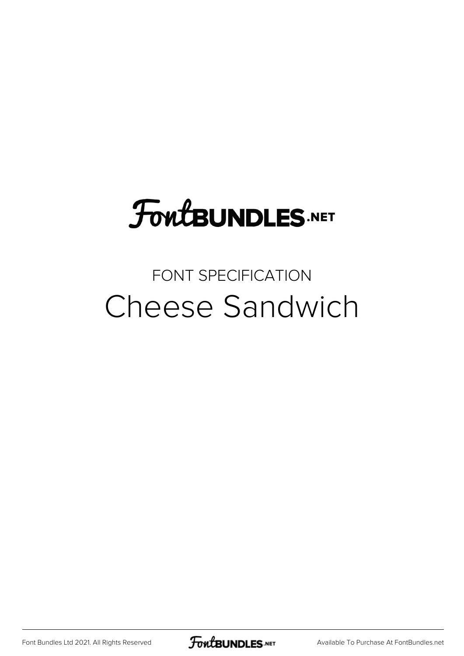# **FoutBUNDLES.NET**

### FONT SPECIFICATION Cheese Sandwich

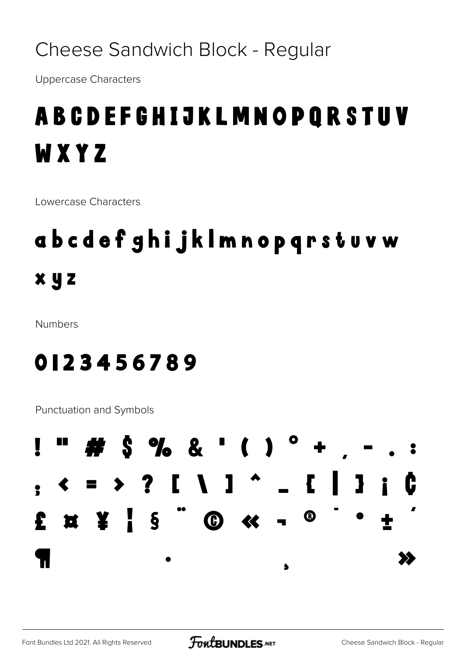### Cheese Sandwich Block - Regular

**Uppercase Characters** 

## **ABCDEFGHIJKLMNOPQRSTUV** WXYZ

Lowercase Characters

# abcdefghijklmnopqrstuvw  $x y z$

**Numbers** 

### 0123456789

Punctuation and Symbols

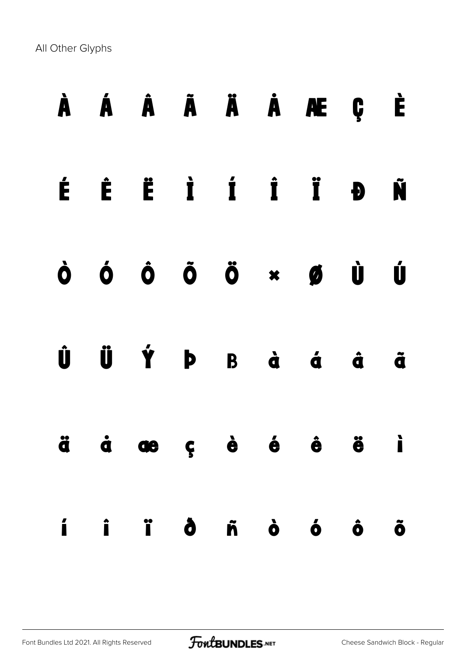All Other Glyphs

|  |  |  | À Á Â Ã Ä À Æ Ç È                                                                                                                                                                               |  |
|--|--|--|-------------------------------------------------------------------------------------------------------------------------------------------------------------------------------------------------|--|
|  |  |  | É È Ë Ì Í Ï Đ Ñ                                                                                                                                                                                 |  |
|  |  |  | $\dot{\mathbf{O}} \quad \dot{\mathbf{O}} \quad \dot{\mathbf{O}} \quad \dot{\mathbf{O}} \quad \ddot{\mathbf{O}} \quad \mathbf{A} \quad \mathbf{B} \quad \dot{\mathbf{U}} \quad \dot{\mathbf{U}}$ |  |
|  |  |  | $\hat{U}$ $\hat{U}$ $\hat{Y}$ $P$ $B$ $\hat{a}$ $\hat{a}$ $\hat{a}$ $\hat{a}$                                                                                                                   |  |
|  |  |  | ä å æ ç è é ë i                                                                                                                                                                                 |  |
|  |  |  | í i ï ð ñ ò ó ô õ                                                                                                                                                                               |  |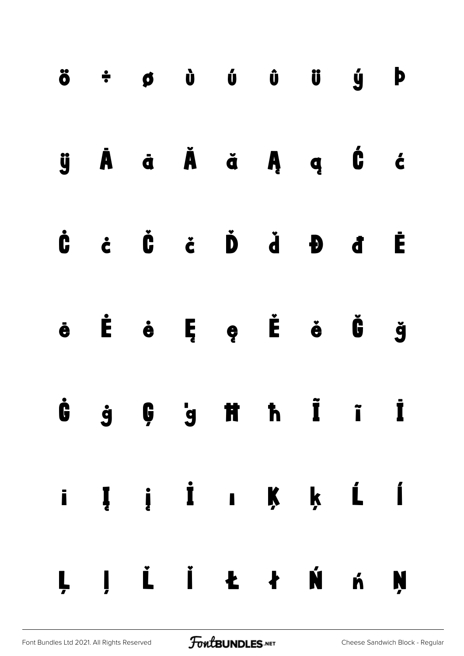|  |  | $\ddot{o}$ $\div$ $\phi$ $\dot{o}$ $\dot{o}$ $\ddot{o}$ $\ddot{o}$ $\ddot{o}$ $\phi$                                                                                                                                                                                                   |  |  |
|--|--|----------------------------------------------------------------------------------------------------------------------------------------------------------------------------------------------------------------------------------------------------------------------------------------|--|--|
|  |  | ÿÀã Ăǎ ặĄ ą Ć ć                                                                                                                                                                                                                                                                        |  |  |
|  |  | $\dot{a}$ $\dot{b}$ $\dot{d}$ $\dot{d}$ $\dot{d}$ $\dot{d}$ $\dot{d}$ $\dot{d}$ $\dot{d}$ $\dot{d}$ $\dot{d}$ $\dot{d}$ $\dot{d}$ $\dot{d}$ $\dot{d}$ $\dot{d}$ $\dot{d}$ $\dot{d}$ $\dot{d}$ $\dot{d}$ $\dot{d}$ $\dot{d}$ $\dot{d}$ $\dot{d}$ $\dot{d}$ $\dot{d}$ $\dot{d}$ $\dot{d$ |  |  |
|  |  | ë Ë ë Ë e Ë ë Ö ğ                                                                                                                                                                                                                                                                      |  |  |
|  |  | $\dot{G}$ $\dot{g}$ $G$ $\dot{g}$ iff in $\dot{I}$ in $\dot{I}$                                                                                                                                                                                                                        |  |  |
|  |  | i Į į İ ı Ķ ķ Ĺ Í                                                                                                                                                                                                                                                                      |  |  |
|  |  | LJ L Ï Ł ł Ń ń Ņ                                                                                                                                                                                                                                                                       |  |  |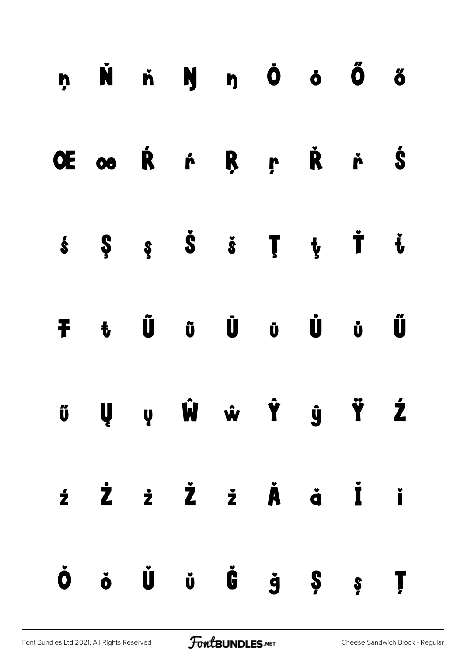| ņ Ň ň Ŋ ŋ Ō ō Ő ő                                                                                                                                                                       |  |  |  |  |
|-----------------------------------------------------------------------------------------------------------------------------------------------------------------------------------------|--|--|--|--|
| OE oe Ŕ ŕ Ŗ ŗ Ř ř Ś                                                                                                                                                                     |  |  |  |  |
| $\dot{s}$ $\qquad$ $\ddot{s}$ $\qquad$ $\ddot{s}$ $\qquad$ $\ddot{r}$ $\qquad$ $\ddot{t}$ $\qquad$ $\ddot{t}$                                                                           |  |  |  |  |
| <b>F</b> t Ũ ũ Ü ü Ü ủ Ű                                                                                                                                                                |  |  |  |  |
|                                                                                                                                                                                         |  |  |  |  |
| źŻż Żž Ż Å ä İ i                                                                                                                                                                        |  |  |  |  |
| $\dot{\mathbf{O}}$ $\dot{\mathbf{o}}$ $\dot{\mathbf{U}}$ $\dot{\mathbf{U}}$ $\dot{\mathbf{U}}$ $\dot{\mathbf{C}}$ $\dot{\mathbf{S}}$ $\dot{\mathbf{S}}$ $\dot{\mathbf{S}}$ $\mathbf{I}$ |  |  |  |  |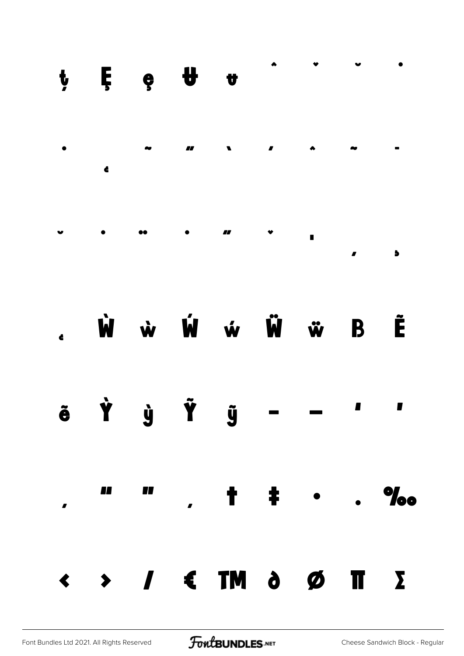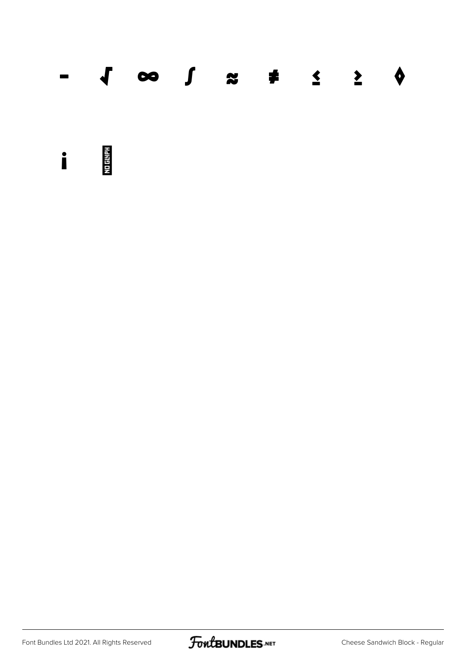|  | $ \sqrt{2}$ $\approx$ $\sqrt{2}$ $\approx$ $\sqrt{2}$ $\approx$ $\sqrt{2}$ $\approx$ $\sqrt{2}$ |  |  |  |
|--|-------------------------------------------------------------------------------------------------|--|--|--|
|  |                                                                                                 |  |  |  |

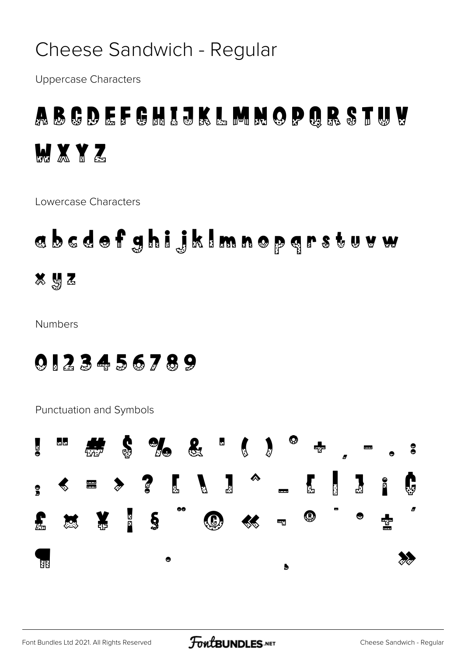### Cheese Sandwich - Regular

**Uppercase Characters** 

### ABCDEFGHIJKLMNOPQRSTUV **MXYZ**

Lowercase Characters

# abcdefghijklmnopgrstuvw  $892$

**Numbers** 

#### 0123456789

Punctuation and Symbols

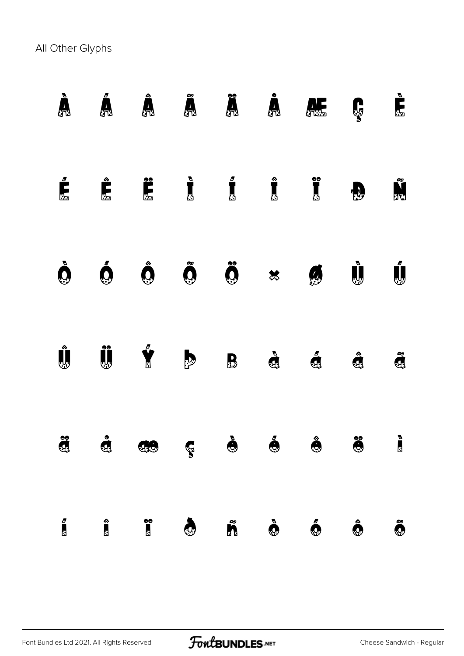All Other Glyphs

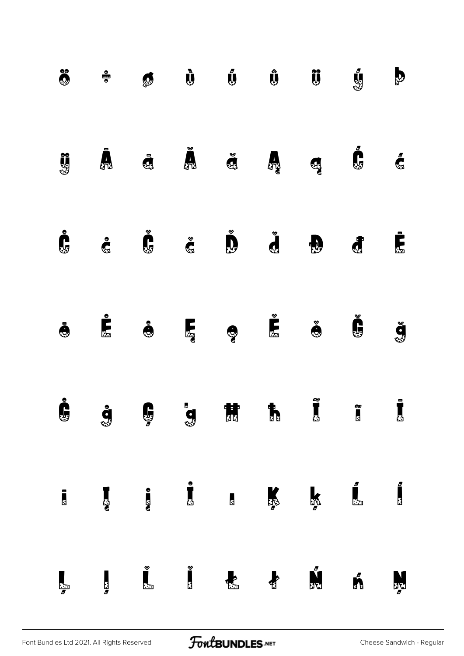| $\ddot{\bullet}$         |                    | Ø                                         | $\mathbf{\tilde{\psi}}$                                     | $\mathbf{U}$       |                  | $\hat{\mathbf{U}}$                                                                                                                                                                                                                                                                                                                                              | ý                         | $\mathbf{b}$                                |
|--------------------------|--------------------|-------------------------------------------|-------------------------------------------------------------|--------------------|------------------|-----------------------------------------------------------------------------------------------------------------------------------------------------------------------------------------------------------------------------------------------------------------------------------------------------------------------------------------------------------------|---------------------------|---------------------------------------------|
| <b>US</b>                | $\bar{\bm{A}}$     |                                           | $\ddot{\mathbf{d}}$ $\ddot{\mathbf{d}}$ $\ddot{\mathbf{d}}$ |                    |                  | $\mathbf{G}$                                                                                                                                                                                                                                                                                                                                                    | Ć                         | $\mathbf{C}$                                |
| Ċ                        | <b>G</b>           | $\check{\mathbf{G}}$ $\check{\mathbf{G}}$ |                                                             | $\bigcup^{\infty}$ | $\sum_{i=1}^{N}$ | $\bigoplus$                                                                                                                                                                                                                                                                                                                                                     | $\mathbf{d}$              | Ė,                                          |
| $\ddot{\mathbf{\Theta}}$ | $\sum_{i=1}^{n}$   | $\bullet$                                 |                                                             |                    |                  | $\sum_{i=1}^{\infty}$                                                                                                                                                                                                                                                                                                                                           | Č.                        | ğ                                           |
| Ċ                        | <b>g</b>           | $\mathbf{Q}$ is the set of $\mathbf{Q}$   |                                                             |                    |                  | $\sum_{i=1}^{n} \frac{1}{i} \sum_{i=1}^{n} \frac{1}{i} \sum_{i=1}^{n} \frac{1}{i} \sum_{i=1}^{n} \frac{1}{i} \sum_{i=1}^{n} \frac{1}{i} \sum_{i=1}^{n} \frac{1}{i} \sum_{i=1}^{n} \frac{1}{i} \sum_{i=1}^{n} \frac{1}{i} \sum_{i=1}^{n} \frac{1}{i} \sum_{i=1}^{n} \frac{1}{i} \sum_{i=1}^{n} \frac{1}{i} \sum_{i=1}^{n} \frac{1}{i} \sum_{i=1}^{n} \frac{1}{i$ | $\sum_{i=1}^{\infty}$     | ÷<br>$\mathbf{r}$                           |
| $\ddot{\phantom{a}}$     |                    |                                           |                                                             |                    |                  | K                                                                                                                                                                                                                                                                                                                                                               | $\int_{-\infty}^{\infty}$ | $\begin{bmatrix} 0 \\ 0 \\ 0 \end{bmatrix}$ |
| Ļ                        | $\frac{1}{\sigma}$ | $\sum_{i=1}^{\infty}$                     | $\sum_{i=1}^{\infty}$                                       | $\frac{1}{2}$      | $\bullet$        |                                                                                                                                                                                                                                                                                                                                                                 | ń                         | Ņ                                           |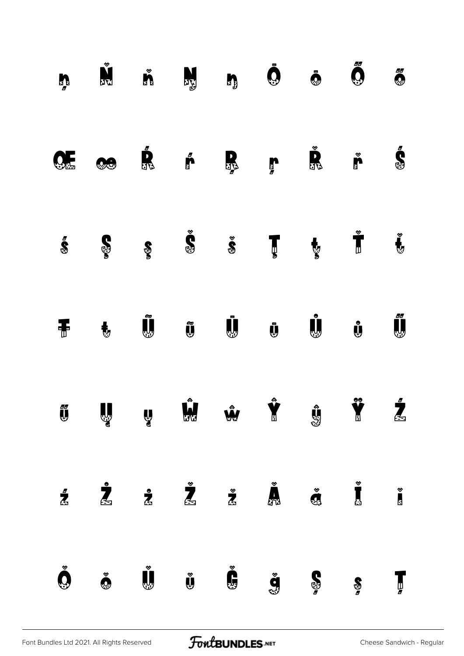| $\sum_{n=1}^{\infty}$ | <b>VERSION</b>          |                                                             | <b>ALC</b>                                                                    |                       | $\ddot{\mathbf{Q}}$  | $\ddot{\mathbf{O}}$   | Ő                     | $\ddot{\mathbf{0}}$          |
|-----------------------|-------------------------|-------------------------------------------------------------|-------------------------------------------------------------------------------|-----------------------|----------------------|-----------------------|-----------------------|------------------------------|
| <b>QL</b>             | <b>OCH</b>              | $\begin{matrix} \bullet \\ \bullet \\ \bullet \end{matrix}$ |                                                                               | R                     | $\sum_{\sigma}$      | $\sum_{i=1}^{\infty}$ | $\sum_{i=1}^{\infty}$ | é.                           |
| Ś                     | <b>S</b>                |                                                             | $\tilde{\mathbf{S}}$ $\tilde{\mathbf{S}}$ $\tilde{\mathbf{S}}$                |                       | $\mathbf{J}$         | $\mathbf{y}$          | $\frac{8}{3}$         | Ů                            |
| Ŧ                     | $\ddagger$              | Ũ                                                           | Ũ                                                                             | Ū,                    | $\mathbf{\bar{U}}$   | Ů,                    | Ů                     | J,                           |
|                       |                         |                                                             | y My My Y                                                                     |                       |                      | $\mathbf{C}$          |                       | $\mathbf{Z}$<br>$\mathbf{Z}$ |
| $\frac{1}{2}$         | $\mathbf{\mathring{Z}}$ |                                                             | $\mathbf{z}$ $\mathbf{z}$ $\mathbf{z}$ $\mathbf{w}$ $\mathbf{z}$ $\mathbf{z}$ |                       |                      |                       |                       | $\frac{1}{2}$                |
| $\check{\mathbf{Q}}$  | $\bullet$               | $\mathring{\mathbf{U}}$                                     | $\check{\mathbf{y}}$                                                          | $\sum_{i=1}^{\infty}$ | $\check{\mathbf{g}}$ | $\mathbf{S}$          | $\frac{S}{g}$         | Ţ                            |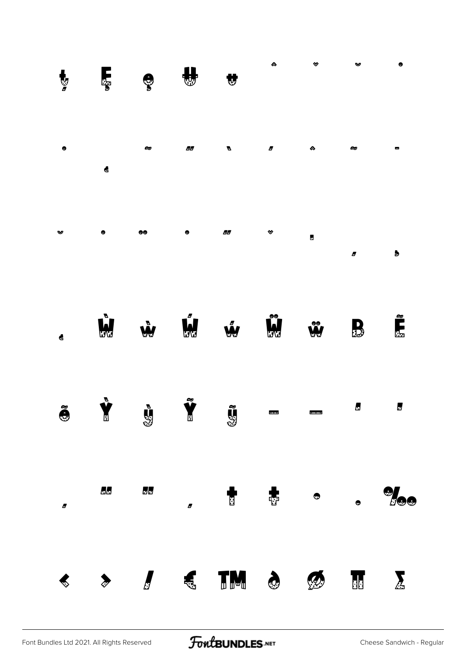| $\mathbf{y}$         | Ę                    | $\mathbb{C}$ |                      | Ŵ             |                     | ❤                        | v              | ٠                     |
|----------------------|----------------------|--------------|----------------------|---------------|---------------------|--------------------------|----------------|-----------------------|
| $\bullet$            | $\blacktriangleleft$ | ∞            | 86                   | Ø             | $\pmb{\mathcal{B}}$ | $\pmb{\hat{\infty}}$     | ∞              | Ξ                     |
| ಀ                    | ۰                    | 66           | $\bullet$            | 66            | ❤                   | $\blacksquare$           | Ø              | $\blacktriangleright$ |
| $\blacktriangleleft$ | <b>W</b>             | Ŵ            | Ú.                   | Ŵ             | Ŵ                   | $\mathbf{r}$             | $\mathbf{B}$   | <u>person</u>         |
| $\tilde{\bullet}$    | $\sum_{\alpha}$      | $\mathbf{g}$ | $\tilde{\mathbf{Y}}$ | <b>CG</b>     | $\blacksquare$      | $\overline{\phantom{a}}$ | $\blacksquare$ | $\blacksquare$        |
| $\pmb{\sigma}$       | 66                   | $\Box$       | $\blacksquare$       | $\frac{1}{2}$ |                     | $\bullet$                |                | $\partial f_{\Theta}$ |
| $\clubsuit$          | $\sum_{i=1}^{n}$     |              |                      | A STIME & B   |                     |                          |                | $\frac{1}{2}$         |